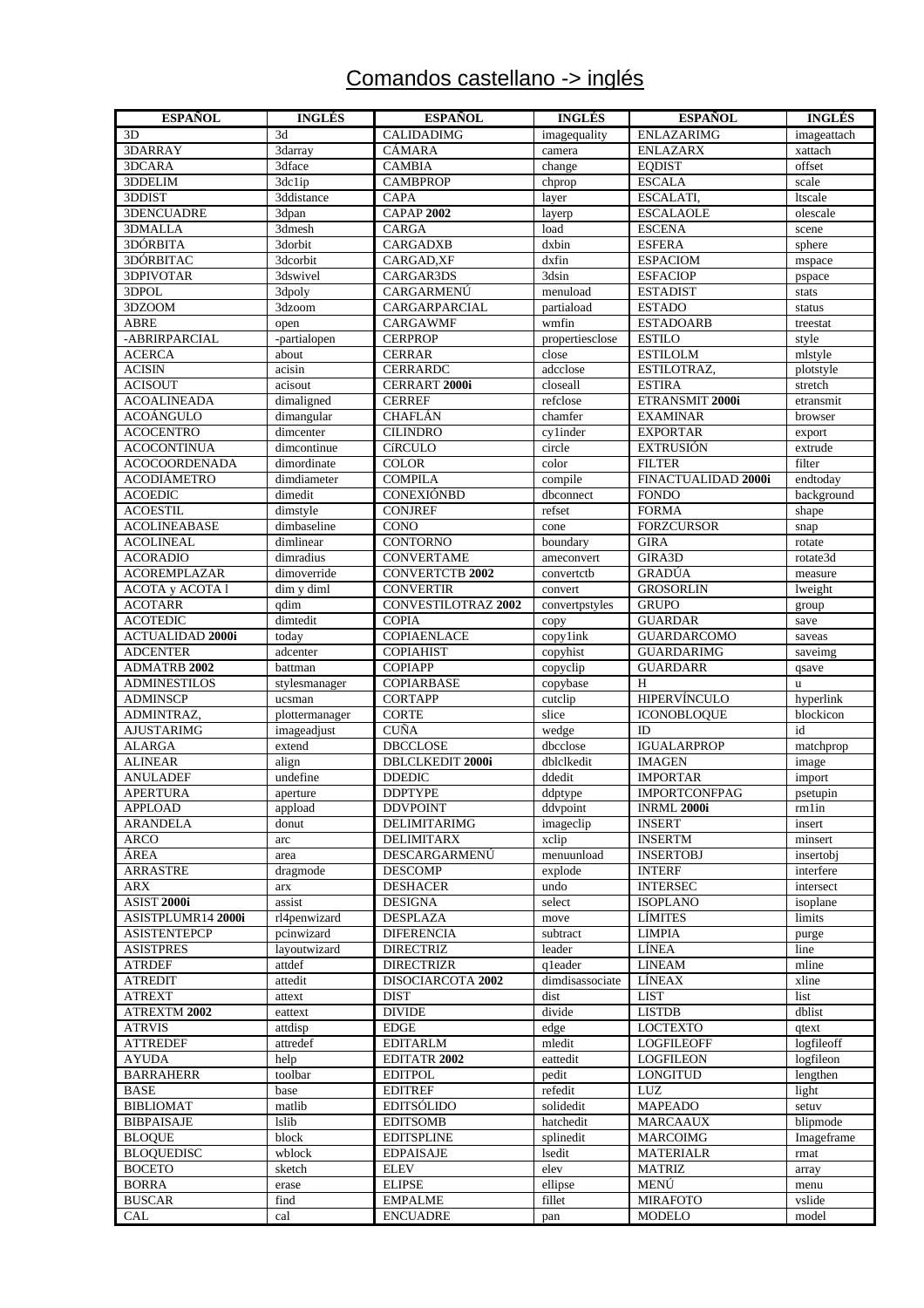# Comandos castellano -> inglés

| <b>ESPAÑOL</b>                            | <b>INGLÉS</b>              | <b>ESPAÑOL</b>                       | <b>INGLÉS</b>    | <b>ESPAÑOL</b>                     | <b>INGLÉS</b>         |
|-------------------------------------------|----------------------------|--------------------------------------|------------------|------------------------------------|-----------------------|
| 3D                                        | 3d                         | <b>CALIDADIMG</b>                    | imagequality     | <b>ENLAZARIMG</b>                  | imageattach           |
| 3DARRAY                                   | 3darray                    | <b>CÁMARA</b>                        | camera           | <b>ENLAZARX</b>                    | xattach               |
| 3DCARA                                    | 3dface                     | <b>CAMBIA</b>                        | change           | <b>EQDIST</b>                      | offset                |
| 3DDELIM                                   | 3dc1ip                     | <b>CAMBPROP</b>                      | chprop           | <b>ESCALA</b>                      | scale                 |
| 3DDIST                                    | 3ddistance                 | <b>CAPA</b>                          | layer            | ESCALATI,                          | ltscale               |
| 3DENCUADRE                                | 3dpan                      | <b>CAPAP 2002</b>                    | layerp           | <b>ESCALAOLE</b>                   | olescale              |
| 3DMALLA                                   | 3dmesh                     | <b>CARGA</b>                         | load             | <b>ESCENA</b>                      | scene                 |
| 3DÓRBITA                                  | 3dorbit                    | <b>CARGADXB</b>                      | dxbin            | <b>ESFERA</b>                      | sphere                |
| 3DÓRBITAC                                 | 3dcorbit                   | CARGAD, XF                           | dxfin            | <b>ESPACIOM</b>                    | mspace                |
| <b>3DPIVOTAR</b>                          | 3dswivel                   | CARGAR3DS                            | 3dsin            | <b>ESFACIOP</b>                    | pspace                |
| 3DPOL                                     | 3dpoly                     | CARGARMENÚ                           | menuload         | <b>ESTADIST</b>                    | stats                 |
| 3DZOOM                                    | 3dzoom                     | CARGARPARCIAL                        | partiaload       | <b>ESTADO</b>                      | status                |
| <b>ABRE</b>                               | open                       | <b>CARGAWMF</b>                      | wmfin            | <b>ESTADOARB</b>                   | treestat              |
| -ABRIRPARCIAL                             | -partialopen               | <b>CERPROP</b>                       | propertiesclose  | <b>ESTILO</b>                      | style                 |
| <b>ACERCA</b>                             | about                      | <b>CERRAR</b>                        | close            | <b>ESTILOLM</b>                    | mlstyle               |
| <b>ACISIN</b>                             | acisin                     | <b>CERRARDC</b>                      | adcclose         | ESTILOTRAZ,                        | plotstyle             |
| <b>ACISOUT</b>                            | acisout                    | CERRART 2000i                        | closeall         | <b>ESTIRA</b>                      | stretch               |
| <b>ACOALINEADA</b>                        | dimaligned                 | <b>CERREF</b>                        | refclose         | ETRANSMIT 2000i                    | etransmit             |
| <b>ACOÁNGULO</b>                          | dimangular                 | <b>CHAFLÁN</b>                       | chamfer          | <b>EXAMINAR</b>                    | browser               |
| <b>ACOCENTRO</b>                          | dimcenter                  | <b>CILINDRO</b>                      | cylinder         | <b>EXPORTAR</b>                    | export                |
| <b>ACOCONTINUA</b>                        | dimcontinue                | <b>CíRCULO</b>                       | circle           | <b>EXTRUSIÓN</b>                   | extrude               |
| <b>ACOCOORDENADA</b>                      | dimordinate                | <b>COLOR</b>                         | color            | <b>FILTER</b>                      | filter                |
| <b>ACODIÁMETRO</b>                        | dimdiameter                | <b>COMPILA</b>                       | compile          | FINACTUALIDAD 2000i                | endtoday              |
| <b>ACOEDIC</b>                            | dimedit                    | CONEXIÓNBD                           | dbconnect        | <b>FONDO</b>                       | background            |
| <b>ACOESTIL</b>                           | dimstyle                   | <b>CONJREF</b>                       | refset           | <b>FORMA</b>                       | shape                 |
| <b>ACOLINEABASE</b>                       | dimbaseline                | CONO                                 | cone             | <b>FORZCURSOR</b>                  | snap                  |
| <b>ACOLINEAL</b>                          | dimlinear                  | <b>CONTORNO</b>                      | boundary         | <b>GIRA</b>                        | rotate                |
| <b>ACORADIO</b>                           | dimradius                  | <b>CONVERTAME</b>                    | ameconvert       | GIRA3D                             | rotate3d              |
| <b>ACOREMPLAZAR</b>                       | dimoverride                | <b>CONVERTCTB 2002</b>               | convertctb       | GRADÚA                             | measure               |
| <b>ACOTA y ACOTA 1</b>                    | dim y diml                 | <b>CONVERTIR</b>                     | convert          | <b>GROSORLIN</b>                   | lweight               |
| <b>ACOTARR</b>                            | qdim                       | CONVESTILOTRAZ 2002                  | convertpstyles   | <b>GRUPO</b>                       | group                 |
| <b>ACOTEDIC</b>                           | dimtedit                   | <b>COPIA</b>                         | copy             | <b>GUARDAR</b>                     | save                  |
| <b>ACTUALIDAD 2000i</b>                   | today                      | COPIAENLACE                          | copylink         | <b>GUARDARCOMO</b>                 | saveas                |
| <b>ADCENTER</b>                           | adcenter                   | <b>COPIAHIST</b>                     | copyhist         | <b>GUARDARIMG</b>                  | saveimg               |
| <b>ADMATRB 2002</b>                       | battman                    | <b>COPIAPP</b>                       | copyclip         | <b>GUARDARR</b>                    | qsave                 |
| <b>ADMINESTILOS</b>                       | stylesmanager              | <b>COPIARBASE</b>                    | copybase         | H                                  | <b>u</b>              |
| <b>ADMINSCP</b>                           | ucsman                     | <b>CORTAPP</b>                       | cutclip          | <b>HIPERVÍNCULO</b>                | hyperlink             |
| ADMINTRAZ,                                | plottermanager             | <b>CORTE</b>                         | slice            | <b>ICONOBLOQUE</b>                 | blockicon             |
| <b>AJUSTARIMG</b>                         | imageadjust                | <b>CUÑA</b>                          | wedge            | ID                                 | id                    |
| <b>ALARGA</b>                             | extend                     | <b>DBCCLOSE</b>                      | dbcclose         | <b>IGUALARPROP</b>                 | matchprop             |
| <b>ALINEAR</b>                            | align                      | DBLCLKEDIT 2000i                     | dblclkedit       | <b>IMAGEN</b>                      | image                 |
| <b>ANULADEF</b>                           | undefine                   | <b>DDEDIC</b>                        | ddedit           | <b>IMPORTAR</b>                    | import                |
| <b>APERTURA</b>                           | aperture                   | <b>DDPTYPE</b>                       | ddptype          | <b>IMPORTCONFPAG</b>               | psetupin              |
| APPLOAD                                   | appload                    | <b>DDVPOINT</b>                      | ddypoint         | <b>INRML 2000i</b>                 | rm 1 in               |
| ARANDELA                                  | donut                      | <b>DELIMITARIMG</b>                  | imageclip        | <b>INSERT</b>                      | insert                |
| ARCO                                      | arc                        | <b>DELIMITARX</b>                    | xclip            | <b>INSERTM</b>                     | minsert               |
| ÁREA                                      | area<br>dragmode           | DESCARGARMENÚ                        | menuunload       | <b>INSERTOBJ</b>                   | insertobj             |
| <b>ARRASTRE</b>                           |                            | <b>DESCOMP</b>                       | explode          | <b>INTERF</b>                      | interfere             |
| <b>ARX</b><br>ASIST 2000i                 | arx                        | <b>DESHACER</b><br><b>DESIGNA</b>    | undo<br>select   | <b>INTERSEC</b><br><b>ISOPLANO</b> | intersect<br>isoplane |
|                                           | assist                     |                                      |                  |                                    |                       |
| ASISTPLUMR14 2000i<br><b>ASISTENTEPCP</b> | rl4penwizard<br>pcinwizard | <b>DESPLAZA</b><br><b>DIFERENCIA</b> | move<br>subtract | LÍMITES<br><b>LIMPIA</b>           | limits<br>purge       |
| <b>ASISTPRES</b>                          | layoutwizard               | <b>DIRECTRIZ</b>                     | leader           | LÍNEA                              | line                  |
| <b>ATRDEF</b>                             | attdef                     | <b>DIRECTRIZR</b>                    | qleader          | <b>LINEAM</b>                      | mline                 |
| <b>ATREDIT</b>                            | attedit                    | DISOCIARCOTA 2002                    | dimdisassociate  | LÍNEAX                             | xline                 |
| <b>ATREXT</b>                             | attext                     | <b>DIST</b>                          | dist             | <b>LIST</b>                        | list                  |
| ATREXTM 2002                              | eattext                    | <b>DIVIDE</b>                        | divide           | <b>LISTDB</b>                      | dblist                |
| <b>ATRVIS</b>                             | attdisp                    | <b>EDGE</b>                          | edge             | <b>LOCTEXTO</b>                    | qtext                 |
| <b>ATTREDEF</b>                           | attredef                   | <b>EDITARLM</b>                      | mledit           | <b>LOGFILEOFF</b>                  | logfileoff            |
| <b>AYUDA</b>                              | help                       | EDITATR 2002                         | eattedit         | <b>LOGFILEON</b>                   | logfileon             |
| <b>BARRAHERR</b>                          | toolbar                    | <b>EDITPOL</b>                       | pedit            | <b>LONGITUD</b>                    | lengthen              |
| <b>BASE</b>                               | base                       | <b>EDITREF</b>                       | refedit          | LUZ                                | light                 |
| <b>BIBLIOMAT</b>                          | matlib                     | <b>EDITSÓLIDO</b>                    | solidedit        | <b>MAPEADO</b>                     | setuv                 |
| <b>BIBPAISAJE</b>                         | <b>lslib</b>               | <b>EDITSOMB</b>                      | hatchedit        | <b>MARCAAUX</b>                    | blipmode              |
| <b>BLOOUE</b>                             | block                      | <b>EDITSPLINE</b>                    | splinedit        | <b>MARCOIMG</b>                    | Imageframe            |
| <b>BLOQUEDISC</b>                         | wblock                     | <b>EDPAISAJE</b>                     | lsedit           | <b>MATERIALR</b>                   | rmat                  |
| <b>BOCETO</b>                             | sketch                     | <b>ELEV</b>                          | elev             | <b>MATRIZ</b>                      | array                 |
| <b>BORRA</b>                              | erase                      | <b>ELIPSE</b>                        | ellipse          | MENÚ                               | menu                  |
| <b>BUSCAR</b>                             | find                       | <b>EMPALME</b>                       | fillet           | <b>MIRAFOTO</b>                    | vslide                |
| CAL                                       | cal                        | <b>ENCUADRE</b>                      | pan              | <b>MODELO</b>                      | model                 |
|                                           |                            |                                      |                  |                                    |                       |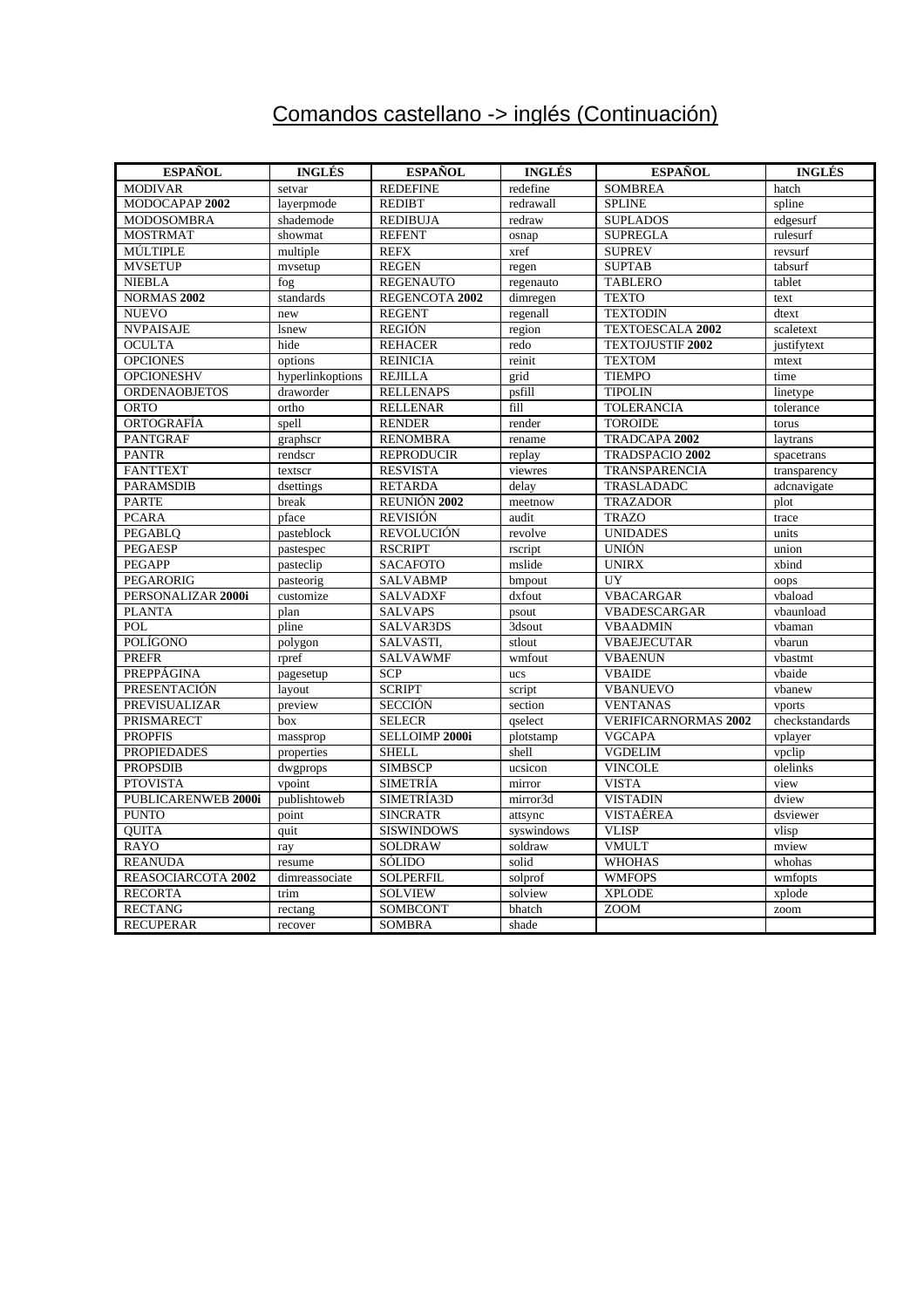# Comandos castellano -> inglés (Continuación)

| <b>ESPAÑOL</b>         | <b>INGLÉS</b>    | <b>ESPAÑOL</b>    | <b>INGLÉS</b> | <b>ESPAÑOL</b>              | <b>INGLÉS</b>  |
|------------------------|------------------|-------------------|---------------|-----------------------------|----------------|
| <b>MODIVAR</b>         | setvar           | <b>REDEFINE</b>   | redefine      | <b>SOMBREA</b>              | hatch          |
| MODOCAPAP 2002         | layerpmode       | <b>REDIBT</b>     | redrawall     | <b>SPLINE</b>               | spline         |
| <b>MODOSOMBRA</b>      | shademode        | <b>REDIBUJA</b>   | redraw        | <b>SUPLADOS</b>             | edgesurf       |
| <b>MOSTRMAT</b>        | showmat          | <b>REFENT</b>     | osnap         | <b>SUPREGLA</b>             | rulesurf       |
| MÚLTIPLE               | multiple         | <b>REFX</b>       | xref          | <b>SUPREV</b>               | revsurf        |
| <b>MVSETUP</b>         | mvsetup          | <b>REGEN</b>      | regen         | <b>SUPTAB</b>               | tabsurf        |
| <b>NIEBLA</b>          | fog              | <b>REGENAUTO</b>  | regenauto     | <b>TABLERO</b>              | tablet         |
| NORMAS <sub>2002</sub> | standards        | REGENCOTA 2002    | dimregen      | <b>TEXTO</b>                | text           |
| <b>NUEVO</b>           | new              | <b>REGENT</b>     | regenall      | <b>TEXTODIN</b>             | dtext          |
| <b>NVPAISAJE</b>       | <b>lsnew</b>     | <b>REGIÓN</b>     | region        | <b>TEXTOESCALA 2002</b>     | scaletext      |
| <b>OCULTA</b>          | hide             | <b>REHACER</b>    | redo          | <b>TEXTOJUSTIF 2002</b>     | justifytext    |
| <b>OPCIONES</b>        | options          | <b>REINICIA</b>   | reinit        | <b>TEXTOM</b>               | mtext          |
| <b>OPCIONESHV</b>      | hyperlinkoptions | <b>REJILLA</b>    | grid          | <b>TIEMPO</b>               | time           |
| <b>ORDENAOBJETOS</b>   | draworder        | <b>RELLENAPS</b>  | psfill        | <b>TIPOLIN</b>              | linetype       |
| <b>ORTO</b>            | ortho            | <b>RELLENAR</b>   | fill          | <b>TOLERANCIA</b>           | tolerance      |
| ORTOGRAFÍA             | spell            | <b>RENDER</b>     | render        | <b>TOROIDE</b>              | torus          |
| <b>PANTGRAF</b>        | graphscr         | <b>RENOMBRA</b>   | rename        | TRADCAPA 2002               | laytrans       |
| <b>PANTR</b>           | rendscr          | <b>REPRODUCIR</b> | replay        | TRADSPACIO 2002             | spacetrans     |
| <b>FANTTEXT</b>        | textscr          | <b>RESVISTA</b>   | viewres       | TRANSPARENCIA               | transparency   |
| <b>PARAMSDIB</b>       | dsettings        | <b>RETARDA</b>    | delay         | TRASLADADC                  | adcnavigate    |
| <b>PARTE</b>           | break            | REUNIÓN 2002      | meetnow       | <b>TRAZADOR</b>             | plot           |
| <b>PCARA</b>           | pface            | <b>REVISIÓN</b>   | audit         | <b>TRAZO</b>                | trace          |
| <b>PEGABLO</b>         | pasteblock       | <b>REVOLUCIÓN</b> | revolve       | <b>UNIDADES</b>             | units          |
| <b>PEGAESP</b>         | pastespec        | <b>RSCRIPT</b>    | rscript       | <b>UNIÓN</b>                | union          |
| <b>PEGAPP</b>          | pasteclip        | <b>SACAFOTO</b>   | mslide        | <b>UNIRX</b>                | xbind          |
| PEGARORIG              | pasteorig        | <b>SALVABMP</b>   | bmpout        | UY                          | oops           |
| PERSONALIZAR 2000i     | customize        | <b>SALVADXF</b>   | dxfout        | <b>VBACARGAR</b>            | vbaload        |
| <b>PLANTA</b>          | plan             | <b>SALVAPS</b>    | psout         | VBADESCARGAR                | vbaunload      |
| POL                    | pline            | SALVAR3DS         | 3dsout        | <b>VBAADMIN</b>             | vbaman         |
| POLÍGONO               | polygon          | SALVASTI,         | stlout        | <b>VBAEJECUTAR</b>          | vbarun         |
| <b>PREFR</b>           | rpref            | <b>SALVAWMF</b>   | wmfout        | <b>VBAENUN</b>              | vbastmt        |
| PREPPÁGINA             | pagesetup        | <b>SCP</b>        | ucs           | <b>VBAIDE</b>               | vbaide         |
| PRESENTACIÓN           | layout           | <b>SCRIPT</b>     | script        | <b>VBANUEVO</b>             | vbanew         |
| PREVISUALIZAR          | preview          | <b>SECCIÓN</b>    | section       | <b>VENTANAS</b>             | vports         |
| PRISMARECT             | box              | <b>SELECR</b>     | qselect       | <b>VERIFICARNORMAS 2002</b> | checkstandards |
| <b>PROPFIS</b>         | massprop         | SELLOIMP 2000i    | plotstamp     | <b>VGCAPA</b>               | vplayer        |
| <b>PROPIEDADES</b>     | properties       | <b>SHELL</b>      | shell         | <b>VGDELIM</b>              | vpclip         |
| <b>PROPSDIB</b>        | dwgprops         | <b>SIMBSCP</b>    | ucsicon       | <b>VINCOLE</b>              | olelinks       |
| <b>PTOVISTA</b>        | vpoint           | <b>SIMETRÍA</b>   | mirror        | <b>VISTA</b>                | view           |
| PUBLICARENWEB 2000i    | publishtoweb     | SIMETRÍA3D        | mirror3d      | <b>VISTADIN</b>             | dview          |
| <b>PUNTO</b>           | point            | <b>SINCRATR</b>   | attsync       | VISTAÉREA                   | dsviewer       |
| <b>OUITA</b>           | quit             | <b>SISWINDOWS</b> | syswindows    | <b>VLISP</b>                | vlisp          |
| RAYO                   | ray              | <b>SOLDRAW</b>    | soldraw       | <b>VMULT</b>                | mview          |
| <b>REANUDA</b>         | resume           | SÓLIDO            | solid         | <b>WHOHAS</b>               | whohas         |
| REASOCIARCOTA 2002     | dimreassociate   | <b>SOLPERFIL</b>  | solprof       | <b>WMFOPS</b>               | wmfopts        |
| <b>RECORTA</b>         | trim             | <b>SOLVIEW</b>    | solview       | <b>XPLODE</b>               | xplode         |
| <b>RECTANG</b>         | rectang          | <b>SOMBCONT</b>   | bhatch        | <b>ZOOM</b>                 | zoom           |
| <b>RECUPERAR</b>       | recover          | <b>SOMBRA</b>     | shade         |                             |                |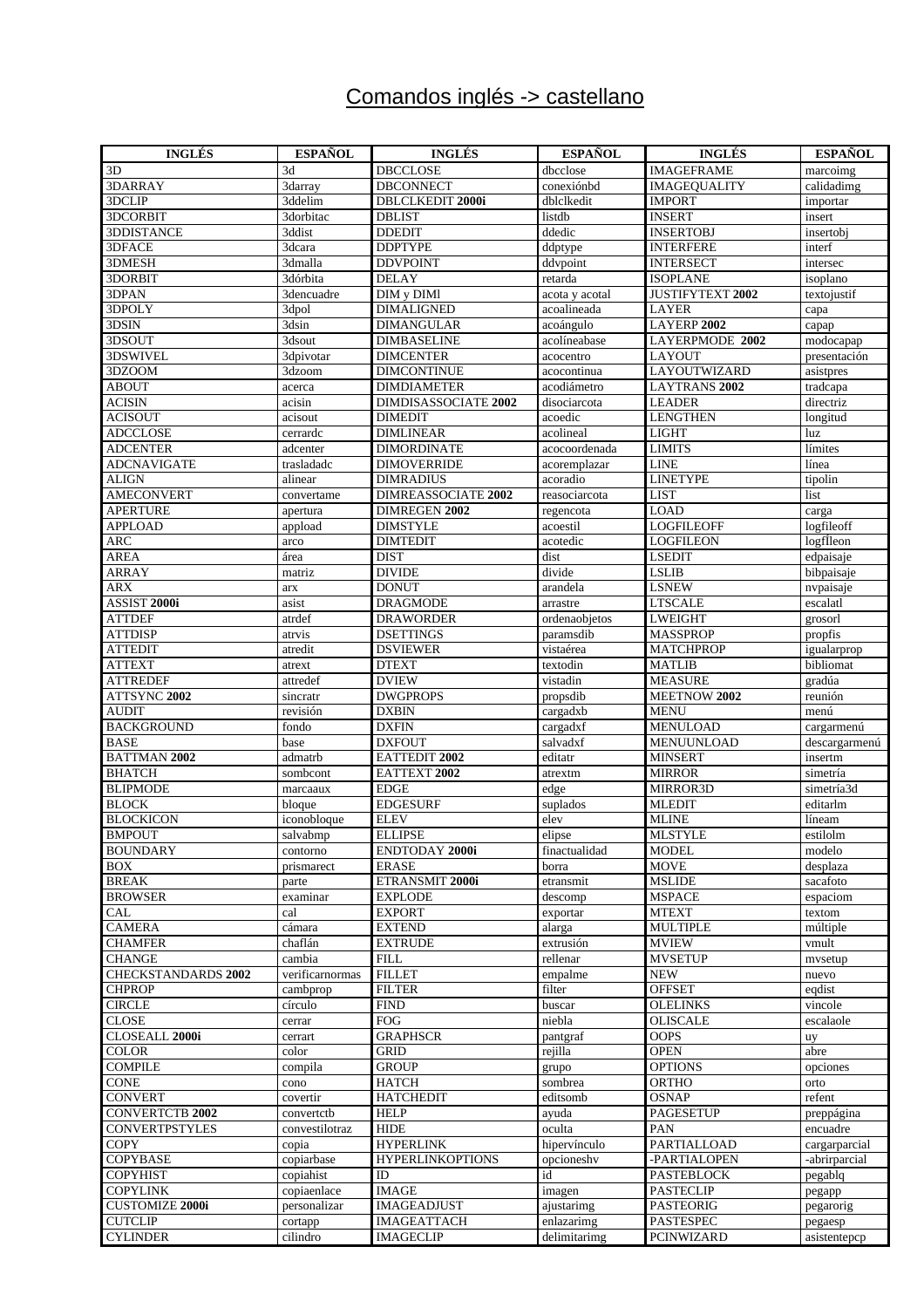# Comandos inglés -> castellano

| <b>INGLÉS</b>              | <b>ESPAÑOL</b>  | <b>INGLÉS</b>              | <b>ESPAÑOL</b> | <b>INGLÉS</b>           | <b>ESPAÑOL</b> |
|----------------------------|-----------------|----------------------------|----------------|-------------------------|----------------|
| 3D                         | 3d              | <b>DBCCLOSE</b>            | dbcclose       | <b>IMAGEFRAME</b>       | marcoimg       |
| 3DARRAY                    | 3darray         | <b>DBCONNECT</b>           | conexiónbd     | <b>IMAGEQUALITY</b>     | calidadimg     |
| 3DCLIP                     | 3ddelim         | <b>DBLCLKEDIT 2000i</b>    | dblclkedit     | <b>IMPORT</b>           | importar       |
| 3DCORBIT                   | 3dorbitac       | <b>DBLIST</b>              | listdb         | <b>INSERT</b>           | insert         |
| 3DDISTANCE                 | 3ddist          | <b>DDEDIT</b>              | ddedic         | <b>INSERTOBJ</b>        | insertobj      |
| 3DFACE                     | 3dcara          | <b>DDPTYPE</b>             | ddptype        | <b>INTERFERE</b>        | interf         |
| 3DMESH                     | 3dmalla         | <b>DDVPOINT</b>            | ddypoint       | <b>INTERSECT</b>        | intersec       |
| 3DORBIT                    | 3dórbita        | <b>DELAY</b>               | retarda        | <b>ISOPLANE</b>         | isoplano       |
| 3DPAN                      | 3dencuadre      | DIM y DIMI                 | acota y acotal | <b>JUSTIFYTEXT 2002</b> | textojustif    |
| 3DPOLY                     | 3dpol           | <b>DIMALIGNED</b>          | acoalineada    | LAYER                   | capa           |
| 3DSIN                      | 3dsin           | <b>DIMANGULAR</b>          | acoángulo      | LAYERP 2002             | capap          |
| 3DSOUT                     | 3dsout          | <b>DIMBASELINE</b>         | acolíneabase   | LAYERPMODE 2002         | modocapap      |
| 3DSWIVEL                   | 3dpivotar       | <b>DIMCENTER</b>           | acocentro      | <b>LAYOUT</b>           | presentación   |
| 3DZOOM                     | 3dzoom          | <b>DIMCONTINUE</b>         | acocontinua    | LAYOUTWIZARD            | asistpres      |
| <b>ABOUT</b>               | acerca          | <b>DIMDIAMETER</b>         | acodiámetro    | <b>LAYTRANS 2002</b>    | tradcapa       |
| <b>ACISIN</b>              | acisin          | DIMDISASSOCIATE 2002       | disociarcota   | <b>LEADER</b>           | directriz      |
| <b>ACISOUT</b>             | acisout         | <b>DIMEDIT</b>             | acoedic        | <b>LENGTHEN</b>         | longitud       |
| <b>ADCCLOSE</b>            | cerrardc        | <b>DIMLINEAR</b>           | acolineal      | <b>LIGHT</b>            | luz            |
| <b>ADCENTER</b>            | adcenter        | <b>DIMORDINATE</b>         | acocoordenada  | <b>LIMITS</b>           | límites        |
| <b>ADCNAVIGATE</b>         | trasladadc      | <b>DIMOVERRIDE</b>         | acoremplazar   | <b>LINE</b>             | línea          |
| ALIGN                      | alinear         | DIMRADIUS                  | acoradio       | <b>LINETYPE</b>         | tipolin        |
| <b>AMECONVERT</b>          | convertame      | <b>DIMREASSOCIATE 2002</b> | reasociarcota  | <b>LIST</b>             | list           |
| <b>APERTURE</b>            | apertura        | DIMREGEN 2002              | regencota      | <b>LOAD</b>             | carga          |
| <b>APPLOAD</b>             | appload         | DIMSTYLE                   | acoestil       | <b>LOGFILEOFF</b>       | logfileoff     |
| <b>ARC</b>                 | arco            | <b>DIMTEDIT</b>            | acotedic       | <b>LOGFILEON</b>        | logfleon       |
| <b>AREA</b>                | área            | <b>DIST</b>                | dist           | <b>LSEDIT</b>           | edpaisaje      |
| <b>ARRAY</b>               | matriz          | <b>DIVIDE</b>              | divide         | <b>LSLIB</b>            | bibpaisaje     |
| ARX                        | arx             | <b>DONUT</b>               | arandela       | <b>LSNEW</b>            | nvpaisaje      |
| ASSIST 2000i               | asist           | <b>DRAGMODE</b>            | arrastre       | <b>LTSCALE</b>          | escalatl       |
| <b>ATTDEF</b>              | atrdef          | <b>DRAWORDER</b>           | ordenaobjetos  | <b>LWEIGHT</b>          | grosorl        |
| <b>ATTDISP</b>             | atrvis          | <b>DSETTINGS</b>           | paramsdib      | <b>MASSPROP</b>         | propfis        |
| ATTEDIT                    | atredit         | <b>DSVIEWER</b>            | vistaérea      | <b>MATCHPROP</b>        | igualarprop    |
| <b>ATTEXT</b>              | atrext          | <b>DTEXT</b>               | textodin       | <b>MATLIB</b>           | bibliomat      |
| <b>ATTREDEF</b>            | attredef        | <b>DVIEW</b>               | vistadin       | <b>MEASURE</b>          | gradúa         |
| ATTSYNC 2002               | sincratr        | <b>DWGPROPS</b>            | propsdib       | MEETNOW 2002            | reunión        |
| <b>AUDIT</b>               | revisión        | <b>DXBIN</b>               | cargadxb       | <b>MENU</b>             | menú           |
| <b>BACKGROUND</b>          | fondo           | <b>DXFIN</b>               | cargadxf       | <b>MENULOAD</b>         | cargarmenú     |
| <b>BASE</b>                | base            | <b>DXFOUT</b>              | salvadxf       | MENUUNLOAD              | descargarmenú  |
| <b>BATTMAN 2002</b>        | admatrb         | EATTEDIT 2002              | editatr        | <b>MINSERT</b>          | insertm        |
| <b>BHATCH</b>              | sombcont        | EATTEXT 2002               | atrextm        | <b>MIRROR</b>           | simetría       |
| <b>BLIPMODE</b>            | marcaaux        | <b>EDGE</b>                | edge           | MIRROR3D                | simetría3d     |
| <b>BLOCK</b>               | bloque          | <b>EDGESURF</b>            | suplados       | <b>MLEDIT</b>           | editarlm       |
| <b>BLOCKICON</b>           | iconobloque     | <b>ELEV</b>                | elev           | <b>MLINE</b>            | líneam         |
| <b>BMPOUT</b>              | salvabmp        | <b>ELLIPSE</b>             | elipse         | <b>MLSTYLE</b>          | estilolm       |
| <b>BOUNDARY</b>            | contorno        | ENDTODAY 2000i             | finactualidad  | <b>MODEL</b>            | modelo         |
| <b>BOX</b>                 | prismarect      | <b>ERASE</b>               | borra          | MOVE                    | desplaza       |
| <b>BREAK</b>               | parte           | ETRANSMIT 2000i            | etransmit      | <b>MSLIDE</b>           | sacafoto       |
| <b>BROWSER</b>             | examinar        | <b>EXPLODE</b>             | descomp        | <b>MSPACE</b>           | espaciom       |
| CAL                        | cal             | <b>EXPORT</b>              | exportar       | <b>MTEXT</b>            | textom         |
| <b>CAMERA</b>              | cámara          | <b>EXTEND</b>              | alarga         | <b>MULTIPLE</b>         | múltiple       |
| <b>CHAMFER</b>             | chaflán         | <b>EXTRUDE</b>             | extrusión      | <b>MVIEW</b>            | vmult          |
| <b>CHANGE</b>              | cambia          | <b>FILL</b>                | rellenar       | <b>MVSETUP</b>          | mvsetup        |
| <b>CHECKSTANDARDS 2002</b> | verificarnormas | <b>FILLET</b>              | empalme        | <b>NEW</b>              | nuevo          |
| <b>CHPROP</b>              | cambprop        | <b>FILTER</b>              | filter         | <b>OFFSET</b>           | eqdist         |
| <b>CIRCLE</b>              | círculo         | <b>FIND</b>                | buscar         | OLELINKS                | vincole        |
| CLOSE                      | cerrar          | <b>FOG</b>                 | niebla         | <b>OLISCALE</b>         | escalaole      |
| CLOSEALL 2000i             | cerrart         | <b>GRAPHSCR</b>            | pantgraf       | <b>OOPS</b>             | uy             |
| COLOR                      | color           | <b>GRID</b>                | rejilla        | <b>OPEN</b>             | abre           |
| <b>COMPILE</b>             | compila         | <b>GROUP</b>               | grupo          | <b>OPTIONS</b>          | opciones       |
| <b>CONE</b>                | cono            | <b>HATCH</b>               | sombrea        | ORTHO                   | orto           |
| <b>CONVERT</b>             | covertir        | <b>HATCHEDIT</b>           | editsomb       | <b>OSNAP</b>            | refent         |
| <b>CONVERTCTB 2002</b>     | convertctb      | <b>HELP</b>                | ayuda          | <b>PAGESETUP</b>        | preppágina     |
| <b>CONVERTPSTYLES</b>      | convestilotraz  | <b>HIDE</b>                | oculta         | PAN                     | encuadre       |
| COPY                       | copia           | <b>HYPERLINK</b>           | hipervínculo   | PARTIALLOAD             | cargarparcial  |
| COPYBASE                   | copiarbase      | <b>HYPERLINKOPTIONS</b>    | opcioneshy     | -PARTIALOPEN            | -abrirparcial  |
| COPYHIST                   | copiahist       | ID                         | id             | <b>PASTEBLOCK</b>       | pegablq        |
| <b>COPYLINK</b>            | copiaenlace     | <b>IMAGE</b>               | imagen         | <b>PASTECLIP</b>        | pegapp         |
| <b>CUSTOMIZE 2000i</b>     | personalizar    | <b>IMAGEADJUST</b>         | ajustarimg     | <b>PASTEORIG</b>        | pegarorig      |
| <b>CUTCLIP</b>             | cortapp         | <b>IMAGEATTACH</b>         | enlazarimg     | <b>PASTESPEC</b>        | pegaesp        |
| CYLINDER                   | cilindro        | <b>IMAGECLIP</b>           | delimitarimg   | PCINWIZARD              | asistentepcp   |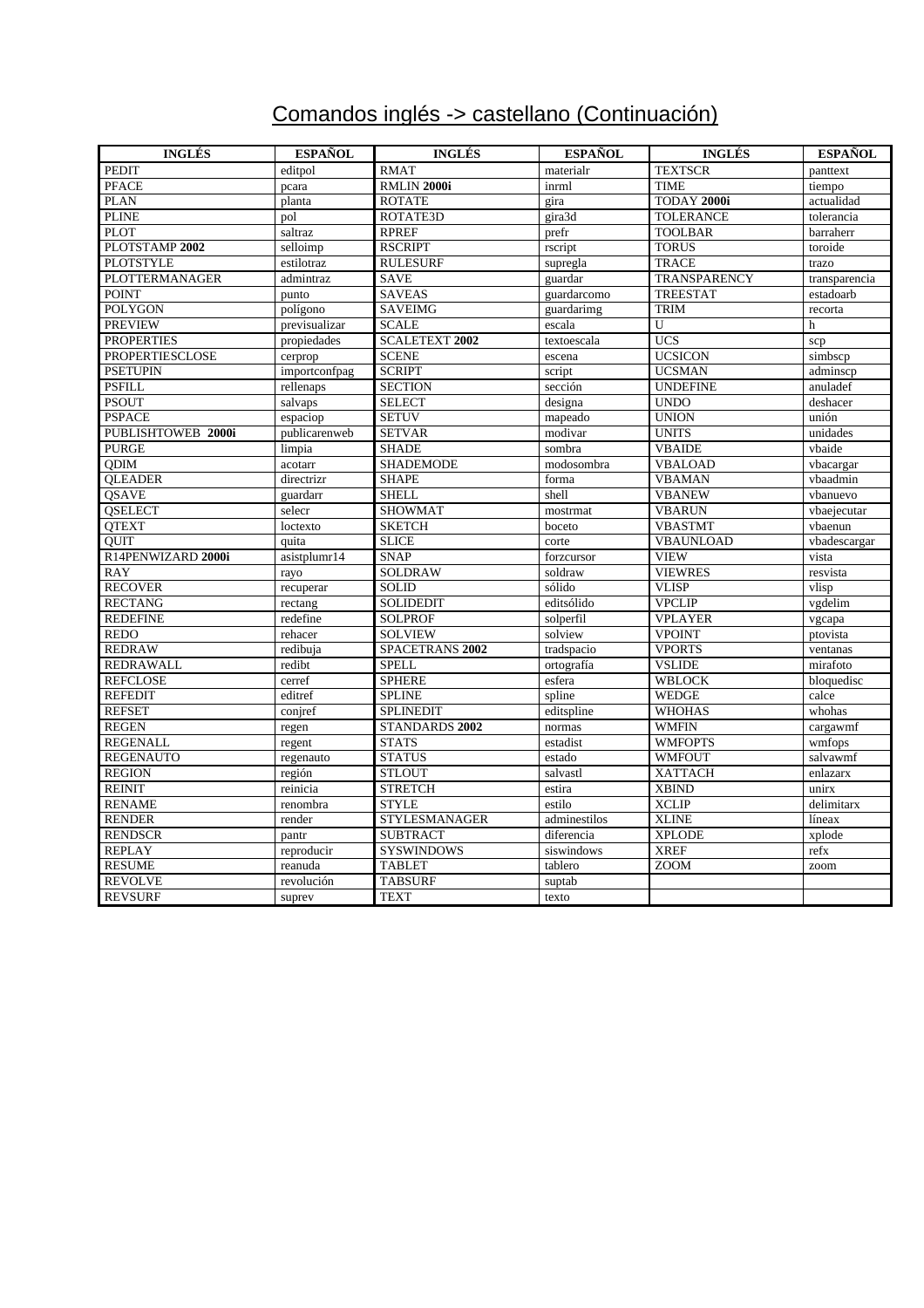# Comandos inglés -> castellano (Continuación)

| <b>INGLÉS</b>          | <b>ESPAÑOL</b> | <b>INGLÉS</b>         | <b>ESPAÑOL</b> | <b>INGLÉS</b>    | <b>ESPAÑOL</b> |
|------------------------|----------------|-----------------------|----------------|------------------|----------------|
| <b>PEDIT</b>           | editpol        | <b>RMAT</b>           | materialr      | <b>TEXTSCR</b>   | panttext       |
| <b>PFACE</b>           | pcara          | RMLIN 2000i           | inrml          | <b>TIME</b>      | tiempo         |
| <b>PLAN</b>            | planta         | <b>ROTATE</b>         | gira           | TODAY 2000i      | actualidad     |
| <b>PLINE</b>           | pol            | ROTATE3D              | gira3d         | <b>TOLERANCE</b> | tolerancia     |
| <b>PLOT</b>            | saltraz        | <b>RPREF</b>          | prefr          | <b>TOOLBAR</b>   | barraherr      |
| PLOTSTAMP 2002         | selloimp       | <b>RSCRIPT</b>        | rscript        | <b>TORUS</b>     | toroide        |
| <b>PLOTSTYLE</b>       | estilotraz     | <b>RULESURF</b>       | supregla       | <b>TRACE</b>     | trazo          |
| <b>PLOTTERMANAGER</b>  | admintraz      | <b>SAVE</b>           | guardar        | TRANSPARENCY     | transparencia  |
| <b>POINT</b>           | punto          | <b>SAVEAS</b>         | guardarcomo    | <b>TREESTAT</b>  | estadoarb      |
| <b>POLYGON</b>         | polígono       | <b>SAVEIMG</b>        | guardarimg     | <b>TRIM</b>      | recorta        |
| <b>PREVIEW</b>         | previsualizar  | <b>SCALE</b>          | escala         | U                | $\mathbf h$    |
| <b>PROPERTIES</b>      | propiedades    | <b>SCALETEXT 2002</b> | textoescala    | <b>UCS</b>       | scp            |
| <b>PROPERTIESCLOSE</b> | cerprop        | <b>SCENE</b>          | escena         | <b>UCSICON</b>   | simbscp        |
| <b>PSETUPIN</b>        | importconfpag  | <b>SCRIPT</b>         | script         | <b>UCSMAN</b>    | adminscp       |
| <b>PSFILL</b>          | rellenaps      | <b>SECTION</b>        | sección        | <b>UNDEFINE</b>  | anuladef       |
| <b>PSOUT</b>           | salvaps        | <b>SELECT</b>         | designa        | <b>UNDO</b>      | deshacer       |
| <b>PSPACE</b>          | espaciop       | <b>SETUV</b>          | mapeado        | <b>UNION</b>     | unión          |
| PUBLISHTOWEB 2000i     | publicarenweb  | <b>SETVAR</b>         | modivar        | <b>UNITS</b>     | unidades       |
| <b>PURGE</b>           | limpia         | <b>SHADE</b>          | sombra         | <b>VBAIDE</b>    | vbaide         |
| <b>QDIM</b>            | acotarr        | <b>SHADEMODE</b>      | modosombra     | <b>VBALOAD</b>   | vbacargar      |
| <b>QLEADER</b>         | directrizr     | <b>SHAPE</b>          | forma          | <b>VBAMAN</b>    | vbaadmin       |
| QSAVE                  | guardarr       | <b>SHELL</b>          | shell          | <b>VBANEW</b>    | vbanuevo       |
| <b>OSELECT</b>         | selecr         | <b>SHOWMAT</b>        | mostrmat       | <b>VBARUN</b>    | vbaejecutar    |
| <b>QTEXT</b>           | loctexto       | <b>SKETCH</b>         | boceto         | <b>VBASTMT</b>   | vbaenun        |
| <b>OUIT</b>            | quita          | <b>SLICE</b>          | corte          | <b>VBAUNLOAD</b> | vbadescargar   |
| R14PENWIZARD 2000i     | asistplumr14   | <b>SNAP</b>           | forzcursor     | <b>VIEW</b>      | vista          |
| <b>RAY</b>             | rayo           | SOLDRAW               | soldraw        | <b>VIEWRES</b>   | resvista       |
| <b>RECOVER</b>         | recuperar      | <b>SOLID</b>          | sólido         | <b>VLISP</b>     | vlisp          |
| <b>RECTANG</b>         | rectang        | <b>SOLIDEDIT</b>      | editsólido     | <b>VPCLIP</b>    | vgdelim        |
| <b>REDEFINE</b>        | redefine       | <b>SOLPROF</b>        | solperfil      | <b>VPLAYER</b>   | vgcapa         |
| <b>REDO</b>            | rehacer        | <b>SOLVIEW</b>        | solview        | <b>VPOINT</b>    | ptovista       |
| <b>REDRAW</b>          | redibuja       | SPACETRANS 2002       | tradspacio     | <b>VPORTS</b>    | ventanas       |
| <b>REDRAWALL</b>       | redibt         | <b>SPELL</b>          | ortografía     | <b>VSLIDE</b>    | mirafoto       |
| <b>REFCLOSE</b>        | cerref         | <b>SPHERE</b>         | esfera         | <b>WBLOCK</b>    | bloquedisc     |
| <b>REFEDIT</b>         | editref        | <b>SPLINE</b>         | spline         | <b>WEDGE</b>     | calce          |
| <b>REFSET</b>          | conjref        | <b>SPLINEDIT</b>      | editspline     | <b>WHOHAS</b>    | whohas         |
| <b>REGEN</b>           | regen          | STANDARDS 2002        | normas         | <b>WMFIN</b>     | cargawmf       |
| <b>REGENALL</b>        | regent         | <b>STATS</b>          | estadist       | <b>WMFOPTS</b>   | wmfops         |
| <b>REGENAUTO</b>       | regenauto      | <b>STATUS</b>         | estado         | <b>WMFOUT</b>    | salvawmf       |
| <b>REGION</b>          | región         | <b>STLOUT</b>         | salvastl       | <b>XATTACH</b>   | enlazarx       |
| <b>REINIT</b>          | reinicia       | <b>STRETCH</b>        | estira         | <b>XBIND</b>     | unirx          |
| <b>RENAME</b>          | renombra       | <b>STYLE</b>          | estilo         | <b>XCLIP</b>     | delimitarx     |
| <b>RENDER</b>          | render         | <b>STYLESMANAGER</b>  | adminestilos   | <b>XLINE</b>     | líneax         |
| <b>RENDSCR</b>         | pantr          | <b>SUBTRACT</b>       | diferencia     | <b>XPLODE</b>    | xplode         |
| <b>REPLAY</b>          | reproducir     | <b>SYSWINDOWS</b>     | siswindows     | <b>XREF</b>      | refx           |
| <b>RESUME</b>          | reanuda        | <b>TABLET</b>         | tablero        | <b>ZOOM</b>      | zoom           |
| <b>REVOLVE</b>         | revolución     | <b>TABSURF</b>        | suptab         |                  |                |
| <b>REVSURF</b>         | suprev         | <b>TEXT</b>           | texto          |                  |                |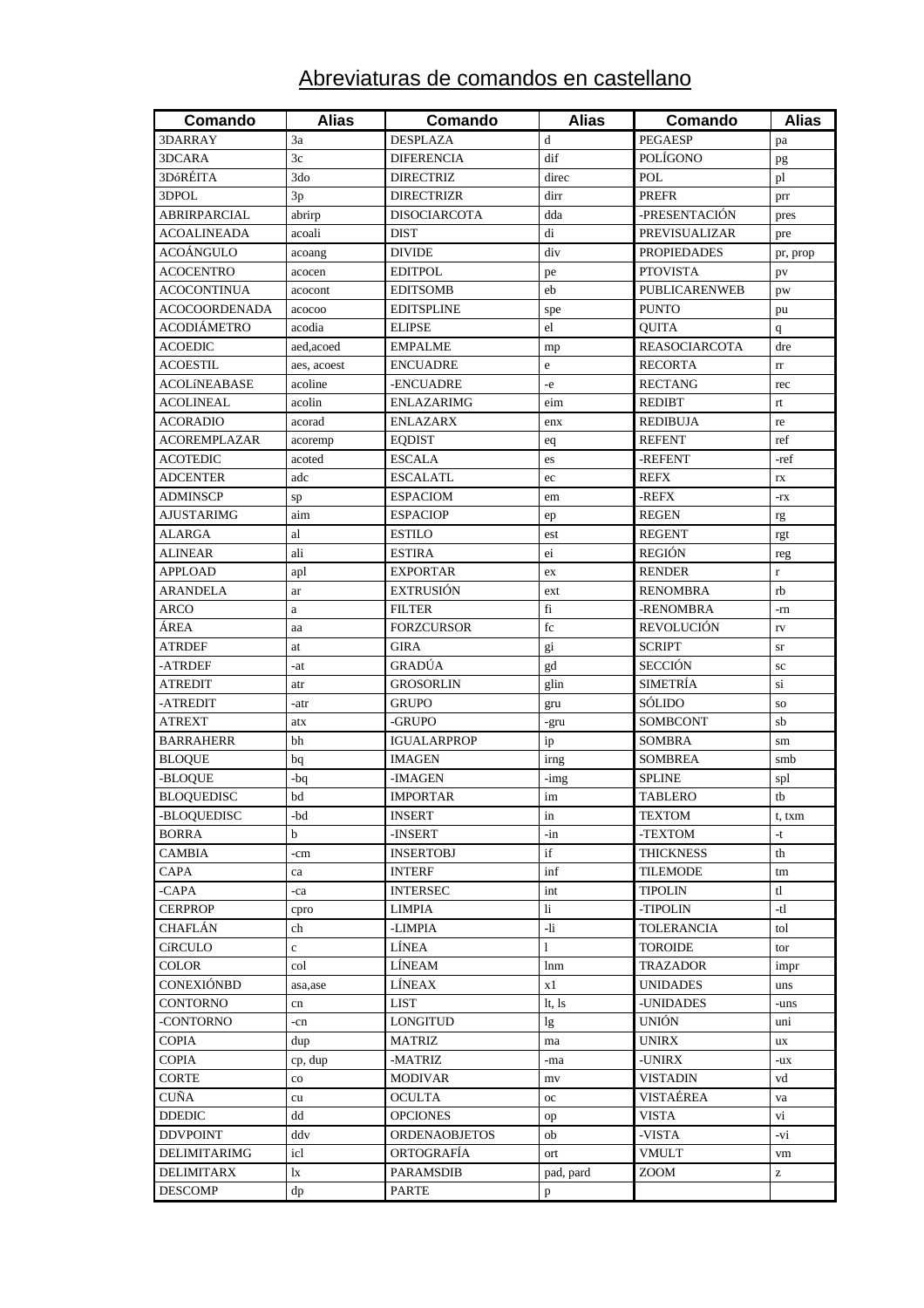# Abreviaturas de comandos en castellano

| Comando              | <b>Alias</b> | Comando              | <b>Alias</b> | Comando                        | <b>Alias</b>                                          |
|----------------------|--------------|----------------------|--------------|--------------------------------|-------------------------------------------------------|
| 3DARRAY              | 3a           | <b>DESPLAZA</b>      | d            | <b>PEGAESP</b>                 | pa                                                    |
| 3DCARA               | 3c           | <b>DIFERENCIA</b>    | dif          | POLÍGONO                       | pg                                                    |
| 3DóRÉITA             | 3do          | <b>DIRECTRIZ</b>     | direc        | <b>POL</b>                     | pl                                                    |
| 3DPOL                | 3p           | <b>DIRECTRIZR</b>    | dirr         | <b>PREFR</b>                   | prr                                                   |
| <b>ABRIRPARCIAL</b>  | abrirp       | <b>DISOCIARCOTA</b>  | dda          | -PRESENTACIÓN                  | pres                                                  |
| <b>ACOALINEADA</b>   | acoali       | <b>DIST</b>          | di           | PREVISUALIZAR                  | pre                                                   |
| ACOÁNGULO            | acoang       | <b>DIVIDE</b>        | div          | <b>PROPIEDADES</b>             | pr, prop                                              |
| <b>ACOCENTRO</b>     | acocen       | <b>EDITPOL</b>       | pe           | <b>PTOVISTA</b>                | pv                                                    |
| <b>ACOCONTINUA</b>   | acocont      | <b>EDITSOMB</b>      | eb           | <b>PUBLICARENWEB</b>           | pw                                                    |
| <b>ACOCOORDENADA</b> | acocoo       | <b>EDITSPLINE</b>    | spe          | <b>PUNTO</b>                   | pu                                                    |
| <b>ACODIÁMETRO</b>   | acodia       | <b>ELIPSE</b>        | el           | <b>QUITA</b>                   | q                                                     |
| <b>ACOEDIC</b>       | aed, acoed   | <b>EMPALME</b>       | mp           | <b>REASOCIARCOTA</b>           | dre                                                   |
| <b>ACOESTIL</b>      | aes, acoest  | <b>ENCUADRE</b>      | e            | <b>RECORTA</b>                 | $_{\rm rr}$                                           |
| <b>ACOLINEABASE</b>  | acoline      | -ENCUADRE            | $-e$         | <b>RECTANG</b>                 | rec                                                   |
| <b>ACOLINEAL</b>     | acolin       | <b>ENLAZARIMG</b>    | eim          | <b>REDIBT</b>                  | rt                                                    |
| <b>ACORADIO</b>      | acorad       | <b>ENLAZARX</b>      | enx          | <b>REDIBUJA</b>                | re                                                    |
| <b>ACOREMPLAZAR</b>  | acoremp      | <b>EQDIST</b>        | eq           | <b>REFENT</b>                  | ref                                                   |
| <b>ACOTEDIC</b>      | acoted       | <b>ESCALA</b>        | es           | -REFENT                        | -ref                                                  |
| <b>ADCENTER</b>      | adc          | <b>ESCALATL</b>      | ec           | <b>REFX</b>                    | rx                                                    |
| <b>ADMINSCP</b>      | sp           | <b>ESPACIOM</b>      | em           | -REFX                          | $-rx$                                                 |
| <b>AJUSTARIMG</b>    | aim          | <b>ESPACIOP</b>      | ep           | <b>REGEN</b>                   | rg                                                    |
| <b>ALARGA</b>        | al           | <b>ESTILO</b>        | est          | <b>REGENT</b>                  | rgt                                                   |
| <b>ALINEAR</b>       | ali          | <b>ESTIRA</b>        | ei           | <b>REGIÓN</b>                  | reg                                                   |
| <b>APPLOAD</b>       | apl          | <b>EXPORTAR</b>      | ex           | <b>RENDER</b>                  | $\mathbf r$                                           |
| <b>ARANDELA</b>      | ar           | <b>EXTRUSIÓN</b>     | ext          | <b>RENOMBRA</b>                | rb                                                    |
| ARCO                 | a            | <b>FILTER</b>        | fi           | -RENOMBRA                      | -rn                                                   |
| ÁREA                 | aa           | <b>FORZCURSOR</b>    | fc           | REVOLUCIÓN                     | $\Gamma \mathrm{V}$                                   |
| <b>ATRDEF</b>        | at           | <b>GIRA</b>          | gi           | <b>SCRIPT</b>                  | sr                                                    |
| -ATRDEF              | -at          | GRADÚA               | gd           | <b>SECCIÓN</b>                 | sc                                                    |
| <b>ATREDIT</b>       | atr          | GROSORLIN            | glin         | <b>SIMETRÍA</b>                | si                                                    |
| -ATREDIT             | -atr         | <b>GRUPO</b>         | gru          | SOLIDO                         | SO.                                                   |
| <b>ATREXT</b>        | atx          | -GRUPO               | -gru         | SOMBCONT                       | sb                                                    |
| <b>BARRAHERR</b>     | bh           | <b>IGUALARPROP</b>   | ip           | <b>SOMBRA</b>                  | sm                                                    |
| <b>BLOQUE</b>        | bq           | <b>IMAGEN</b>        | irng         | <b>SOMBREA</b>                 | smb                                                   |
| -BLOQUE              | -bq          | -IMAGEN              | -img         | <b>SPLINE</b>                  | spl                                                   |
| <b>BLOQUEDISC</b>    | bd           | <b>IMPORTAR</b>      | im           | TABLERO                        | tb                                                    |
| -BLOOUEDISC          | -bd          | <b>INSERT</b>        | in           | <b>TEXTOM</b>                  | t, txm                                                |
| <b>BORRA</b>         | b            | -INSERT              | $-in$        | -TEXTOM                        | $-t$                                                  |
| CAMBIA               | -cm          | <b>INSERTOBJ</b>     | if           | <b>THICKNESS</b>               | th                                                    |
| CAPA                 | ca           | <b>INTERF</b>        | inf          | <b>TILEMODE</b>                | tm                                                    |
| -CAPA                | -ca          | <b>INTERSEC</b>      | int          | <b>TIPOLIN</b>                 | t                                                     |
| <b>CERPROP</b>       | cpro         | <b>LIMPIA</b>        | $\mathbf{h}$ | -TIPOLIN                       | -tl                                                   |
| CHAFLÁN              | ch           | -LIMPIA              | -li          | <b>TOLERANCIA</b>              | tol                                                   |
| <b>CíRCULO</b>       | $\mathbf{c}$ | LÍNEA                | $\mathbf{1}$ | <b>TOROIDE</b>                 | tor                                                   |
| COLOR                | col          | LÍNEAM               | lnm          | <b>TRAZADOR</b>                | impr                                                  |
| CONEXIÓNBD           | asa, ase     | LÍNEAX               | x1           | <b>UNIDADES</b>                | uns                                                   |
| <b>CONTORNO</b>      | cn           | <b>LIST</b>          | lt, ls       | -UNIDADES                      | -uns                                                  |
| -CONTORNO            | -cn          | <b>LONGITUD</b>      | $\lg$        | <b>UNIÓN</b>                   | uni                                                   |
| <b>COPIA</b>         | dup          | <b>MATRIZ</b>        | ma           | <b>UNIRX</b>                   | ux                                                    |
| <b>COPIA</b>         | cp, dup      | -MATRIZ              | -ma          | $\boldsymbol{\mathsf{-UNIRX}}$ | -ux                                                   |
| CORTE                | $_{\rm co}$  | <b>MODIVAR</b>       | mv           | <b>VISTADIN</b>                | vd                                                    |
| <b>CUÑA</b>          | cu           | <b>OCULTA</b>        | $_{\rm oc}$  | VISTAÉREA                      | va                                                    |
| <b>DDEDIC</b>        | dd           | <b>OPCIONES</b>      | op           | <b>VISTA</b>                   | vi                                                    |
| <b>DDVPOINT</b>      | ddv          | <b>ORDENAOBJETOS</b> | ob           | -VISTA                         | -vi                                                   |
| DELIMITARIMG         | icl          | ORTOGRAFÍA           | ort          | <b>VMULT</b>                   | vm                                                    |
| <b>DELIMITARX</b>    | lx           | <b>PARAMSDIB</b>     | pad, pard    | ZOOM                           | $\mathbf{Z}% ^{T}=\mathbf{Z}^{T}\times\mathbf{Z}^{T}$ |
| <b>DESCOMP</b>       | dp           | PARTE                | p            |                                |                                                       |